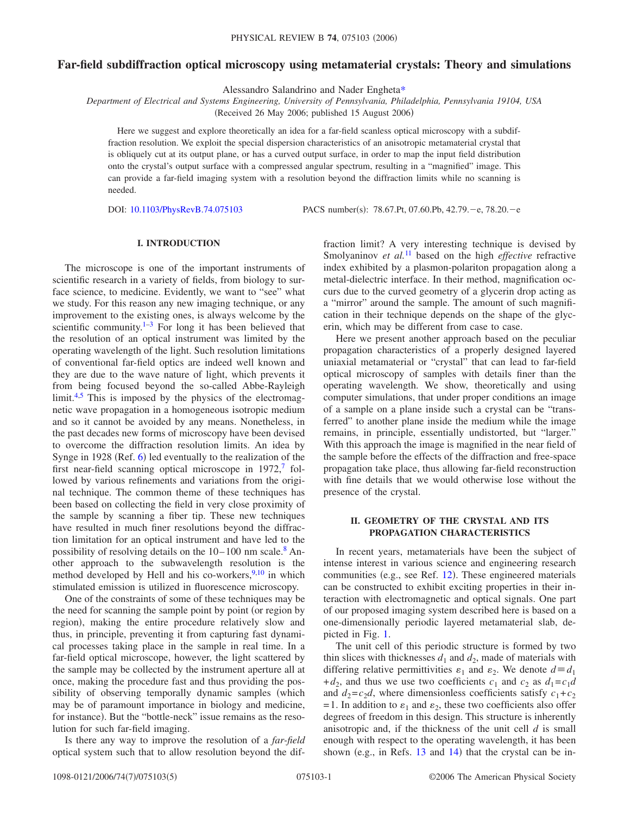# **Far-field subdiffraction optical microscopy using metamaterial crystals: Theory and simulations**

Alessandro Salandrino and Nader Enghet[a\\*](#page-4-0)

*Department of Electrical and Systems Engineering, University of Pennsylvania, Philadelphia, Pennsylvania 19104, USA*

(Received 26 May 2006; published 15 August 2006)

Here we suggest and explore theoretically an idea for a far-field scanless optical microscopy with a subdiffraction resolution. We exploit the special dispersion characteristics of an anisotropic metamaterial crystal that is obliquely cut at its output plane, or has a curved output surface, in order to map the input field distribution onto the crystal's output surface with a compressed angular spectrum, resulting in a "magnified" image. This can provide a far-field imaging system with a resolution beyond the diffraction limits while no scanning is needed.

DOI: [10.1103/PhysRevB.74.075103](http://dx.doi.org/10.1103/PhysRevB.74.075103)

PACS number(s): 78.67.Pt, 07.60.Pb, 42.79. - e, 78.20. - e

## **I. INTRODUCTION**

The microscope is one of the important instruments of scientific research in a variety of fields, from biology to surface science, to medicine. Evidently, we want to "see" what we study. For this reason any new imaging technique, or any improvement to the existing ones, is always welcome by the scientific community. $1-3$  $1-3$  For long it has been believed that the resolution of an optical instrument was limited by the operating wavelength of the light. Such resolution limitations of conventional far-field optics are indeed well known and they are due to the wave nature of light, which prevents it from being focused beyond the so-called Abbe-Rayleigh limit.<sup>4,[5](#page-4-4)</sup> This is imposed by the physics of the electromagnetic wave propagation in a homogeneous isotropic medium and so it cannot be avoided by any means. Nonetheless, in the past decades new forms of microscopy have been devised to overcome the diffraction resolution limits. An idea by Synge in 1928 (Ref. [6](#page-4-5)) led eventually to the realization of the first near-field scanning optical microscope in  $1972$ , followed by various refinements and variations from the original technique. The common theme of these techniques has been based on collecting the field in very close proximity of the sample by scanning a fiber tip. These new techniques have resulted in much finer resolutions beyond the diffraction limitation for an optical instrument and have led to the possibility of resolving details on the  $10-100$  nm scale.<sup>8</sup> Another approach to the subwavelength resolution is the method developed by Hell and his co-workers,  $9,10$  $9,10$  in which stimulated emission is utilized in fluorescence microscopy.

One of the constraints of some of these techniques may be the need for scanning the sample point by point (or region by region), making the entire procedure relatively slow and thus, in principle, preventing it from capturing fast dynamical processes taking place in the sample in real time. In a far-field optical microscope, however, the light scattered by the sample may be collected by the instrument aperture all at once, making the procedure fast and thus providing the possibility of observing temporally dynamic samples (which may be of paramount importance in biology and medicine, for instance). But the "bottle-neck" issue remains as the resolution for such far-field imaging.

Is there any way to improve the resolution of a *far-field* optical system such that to allow resolution beyond the diffraction limit? A very interesting technique is devised by Smolyaninov *et al.*<sup>[11](#page-4-10)</sup> based on the high *effective* refractive index exhibited by a plasmon-polariton propagation along a metal-dielectric interface. In their method, magnification occurs due to the curved geometry of a glycerin drop acting as a "mirror" around the sample. The amount of such magnification in their technique depends on the shape of the glycerin, which may be different from case to case.

Here we present another approach based on the peculiar propagation characteristics of a properly designed layered uniaxial metamaterial or "crystal" that can lead to far-field optical microscopy of samples with details finer than the operating wavelength. We show, theoretically and using computer simulations, that under proper conditions an image of a sample on a plane inside such a crystal can be "transferred" to another plane inside the medium while the image remains, in principle, essentially undistorted, but "larger." With this approach the image is magnified in the near field of the sample before the effects of the diffraction and free-space propagation take place, thus allowing far-field reconstruction with fine details that we would otherwise lose without the presence of the crystal.

### **II. GEOMETRY OF THE CRYSTAL AND ITS PROPAGATION CHARACTERISTICS**

In recent years, metamaterials have been the subject of intense interest in various science and engineering research communities (e.g., see Ref. [12](#page-4-11)). These engineered materials can be constructed to exhibit exciting properties in their interaction with electromagnetic and optical signals. One part of our proposed imaging system described here is based on a one-dimensionally periodic layered metamaterial slab, depicted in Fig. [1.](#page-1-0)

The unit cell of this periodic structure is formed by two thin slices with thicknesses  $d_1$  and  $d_2$ , made of materials with differing relative permittivities  $\varepsilon_1$  and  $\varepsilon_2$ . We denote  $d \equiv d_1$ +*d*<sub>2</sub>, and thus we use two coefficients  $c_1$  and  $c_2$  as  $d_1 = c_1 d$ and  $d_2 = c_2 d$ , where dimensionless coefficients satisfy  $c_1 + c_2$ = 1. In addition to  $\varepsilon_1$  and  $\varepsilon_2$ , these two coefficients also offer degrees of freedom in this design. This structure is inherently anisotropic and, if the thickness of the unit cell *d* is small enough with respect to the operating wavelength, it has been shown (e.g., in Refs.  $13$  and  $14$ ) that the crystal can be in-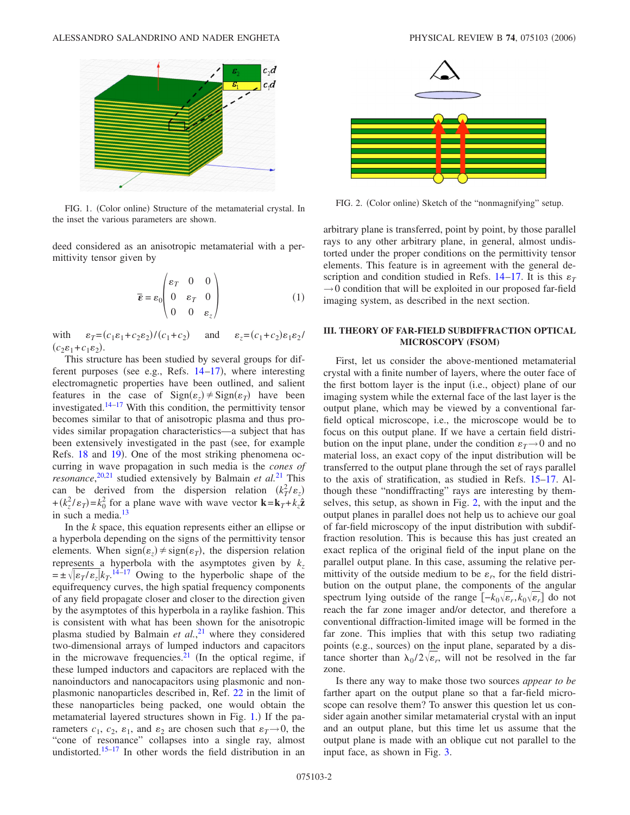<span id="page-1-0"></span>

FIG. 1. (Color online) Structure of the metamaterial crystal. In the inset the various parameters are shown.

<span id="page-1-2"></span>deed considered as an anisotropic metamaterial with a permittivity tensor given by

$$
\overline{\boldsymbol{\varepsilon}} = \varepsilon_0 \begin{pmatrix} \varepsilon_T & 0 & 0 \\ 0 & \varepsilon_T & 0 \\ 0 & 0 & \varepsilon_z \end{pmatrix}
$$
 (1)

with  $\varepsilon_T = (c_1 \varepsilon_1 + c_2 \varepsilon_2) / (c_1 + c_2)$ and  $\epsilon_z = (c_1 + c_2) \varepsilon_1 \varepsilon_2$  $(c_2\varepsilon_1 + c_1\varepsilon_2).$ 

This structure has been studied by several groups for different purposes (see e.g., Refs.  $14-17$  $14-17$ ), where interesting electromagnetic properties have been outlined, and salient features in the case of  $Sign(\varepsilon_z) \neq Sign(\varepsilon_T)$  have been investigated.<sup>14–[17](#page-4-14)</sup> With this condition, the permittivity tensor becomes similar to that of anisotropic plasma and thus provides similar propagation characteristics—a subject that has been extensively investigated in the past (see, for example Refs. [18](#page-4-15) and [19](#page-4-16)). One of the most striking phenomena occurring in wave propagation in such media is the *cones of resonance*, [20](#page-4-17)[,21](#page-4-18) studied extensively by Balmain *et al.*[21](#page-4-18) This can be derived from the dispersion relation  $(k_T^2/\varepsilon_z)$  $+(k_z^2/\varepsilon_T) = k_0^2$  for a plane wave with wave vector  $\mathbf{k} = \mathbf{k}_T + k_z \hat{\mathbf{z}}$ in such a media.<sup>[13](#page-4-12)</sup>

In the *k* space, this equation represents either an ellipse or a hyperbola depending on the signs of the permittivity tensor elements. When  $sign(\varepsilon_z) \neq sign(\varepsilon_T)$ , the dispersion relation represents a hyperbola with the asymptotes given by  $k_z$  $= \pm \sqrt{|\varepsilon_T/\varepsilon_z|} k_T$ .<sup>[14](#page-4-13)[–17](#page-4-14)</sup> Owing to the hyperbolic shape of the equifrequency curves, the high spatial frequency components of any field propagate closer and closer to the direction given by the asymptotes of this hyperbola in a raylike fashion. This is consistent with what has been shown for the anisotropic plasma studied by Balmain *et al.*, [21](#page-4-18) where they considered two-dimensional arrays of lumped inductors and capacitors in the microwave frequencies. $21$  (In the optical regime, if these lumped inductors and capacitors are replaced with the nanoinductors and nanocapacitors using plasmonic and nonplasmonic nanoparticles described in, Ref. [22](#page-4-19) in the limit of these nanoparticles being packed, one would obtain the metamaterial layered structures shown in Fig. [1.](#page-1-0)) If the parameters  $c_1$ ,  $c_2$ ,  $\varepsilon_1$ , and  $\varepsilon_2$  are chosen such that  $\varepsilon_T \rightarrow 0$ , the "cone of resonance" collapses into a single ray, almost undistorted.<sup>15[–17](#page-4-14)</sup> In other words the field distribution in an

<span id="page-1-1"></span>

FIG. 2. (Color online) Sketch of the "nonmagnifying" setup.

arbitrary plane is transferred, point by point, by those parallel rays to any other arbitrary plane, in general, almost undistorted under the proper conditions on the permittivity tensor elements. This feature is in agreement with the general description and condition studied in Refs.  $14-17$  $14-17$ . It is this  $\varepsilon_T$  $\rightarrow$  0 condition that will be exploited in our proposed far-field imaging system, as described in the next section.

#### **III. THEORY OF FAR-FIELD SUBDIFFRACTION OPTICAL MICROSCOPY (FSOM)**

First, let us consider the above-mentioned metamaterial crystal with a finite number of layers, where the outer face of the first bottom layer is the input (i.e., object) plane of our imaging system while the external face of the last layer is the output plane, which may be viewed by a conventional farfield optical microscope, i.e., the microscope would be to focus on this output plane. If we have a certain field distribution on the input plane, under the condition  $\varepsilon_T \to 0$  and no material loss, an exact copy of the input distribution will be transferred to the output plane through the set of rays parallel to the axis of stratification, as studied in Refs. [15](#page-4-20)[–17.](#page-4-14) Although these "nondiffracting" rays are interesting by themselves, this setup, as shown in Fig. [2,](#page-1-1) with the input and the output planes in parallel does not help us to achieve our goal of far-field microscopy of the input distribution with subdiffraction resolution. This is because this has just created an exact replica of the original field of the input plane on the parallel output plane. In this case, assuming the relative permittivity of the outside medium to be  $\varepsilon_r$ , for the field distribution on the output plane, the components of the angular spectrum lying outside of the range  $[-k_0\sqrt{\epsilon_r}, k_0\sqrt{\epsilon_r}]$  do not reach the far zone imager and/or detector, and therefore a conventional diffraction-limited image will be formed in the far zone. This implies that with this setup two radiating points (e.g., sources) on the input plane, separated by a distance shorter than  $\lambda_0/2\sqrt{\epsilon_r}$ , will not be resolved in the far zone.

Is there any way to make those two sources *appear to be* farther apart on the output plane so that a far-field microscope can resolve them? To answer this question let us consider again another similar metamaterial crystal with an input and an output plane, but this time let us assume that the output plane is made with an oblique cut not parallel to the input face, as shown in Fig. [3.](#page-2-0)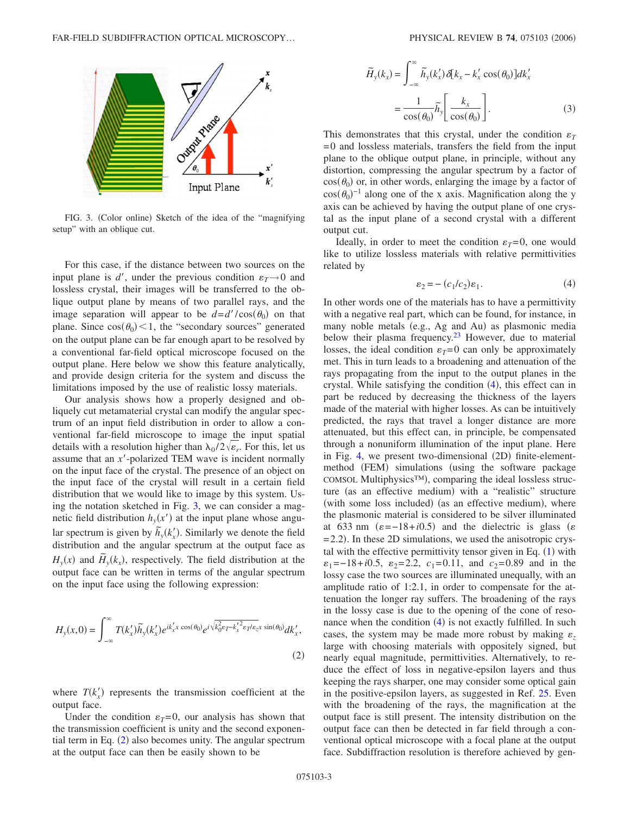<span id="page-2-0"></span>

FIG. 3. (Color online) Sketch of the idea of the "magnifying setup" with an oblique cut.

For this case, if the distance between two sources on the input plane is  $d'$ , under the previous condition  $\varepsilon_T \rightarrow 0$  and lossless crystal, their images will be transferred to the oblique output plane by means of two parallel rays, and the image separation will appear to be  $d=d'/\cos(\theta_0)$  on that plane. Since  $cos(\theta_0) < 1$ , the "secondary sources" generated on the output plane can be far enough apart to be resolved by a conventional far-field optical microscope focused on the output plane. Here below we show this feature analytically, and provide design criteria for the system and discuss the limitations imposed by the use of realistic lossy materials.

Our analysis shows how a properly designed and obliquely cut metamaterial crystal can modify the angular spectrum of an input field distribution in order to allow a conventional far-field microscope to image the input spatial details with a resolution higher than  $\lambda_0/2\sqrt{\epsilon_r}$ . For this, let us assume that an *x*-polarized TEM wave is incident normally on the input face of the crystal. The presence of an object on the input face of the crystal will result in a certain field distribution that we would like to image by this system. Using the notation sketched in Fig. [3,](#page-2-0) we can consider a magnetic field distribution  $h<sub>y</sub>(x')$  at the input plane whose angular spectrum is given by  $\tilde{h}_y(k'_x)$ . Similarly we denote the field distribution and the angular spectrum at the output face as  $H_y(x)$  and  $\tilde{H}_y(k_x)$ , respectively. The field distribution at the output face can be written in terms of the angular spectrum on the input face using the following expression:

<span id="page-2-1"></span>
$$
H_{y}(x,0) = \int_{-\infty}^{\infty} T(k'_{x}) \widetilde{h}_{y}(k'_{x}) e^{ik'_{x}x \cos(\theta_{0})} e^{i\sqrt{k_{0}^{2}\epsilon_{T} - k'_{x}^{2}\epsilon_{T}/\epsilon_{z}x \sin(\theta_{0})} dk'_{x},
$$
\n(2)

where  $T(k'_x)$  represents the transmission coefficient at the output face.

Under the condition  $\varepsilon_T = 0$ , our analysis has shown that the transmission coefficient is unity and the second exponential term in Eq.  $(2)$  $(2)$  $(2)$  also becomes unity. The angular spectrum at the output face can then be easily shown to be

$$
\widetilde{H}_y(k_x) = \int_{-\infty}^{\infty} \widetilde{h}_y(k_x') \, \delta[k_x - k_x' \cos(\theta_0)] dk_x'
$$
\n
$$
= \frac{1}{\cos(\theta_0)} \widetilde{h}_y \left[ \frac{k_x}{\cos(\theta_0)} \right].
$$
\n(3)

This demonstrates that this crystal, under the condition  $\varepsilon_T$ = 0 and lossless materials, transfers the field from the input plane to the oblique output plane, in principle, without any distortion, compressing the angular spectrum by a factor of  $cos(\theta_0)$  or, in other words, enlarging the image by a factor of  $cos(\theta_0)^{-1}$  along one of the x axis. Magnification along the y axis can be achieved by having the output plane of one crystal as the input plane of a second crystal with a different output cut.

Ideally, in order to meet the condition  $\varepsilon_T = 0$ , one would like to utilize lossless materials with relative permittivities related by

$$
\varepsilon_2 = -\left(c_1/c_2\right)\varepsilon_1. \tag{4}
$$

<span id="page-2-2"></span>In other words one of the materials has to have a permittivity with a negative real part, which can be found, for instance, in many noble metals (e.g., Ag and Au) as plasmonic media below their plasma frequency. $23$  However, due to material losses, the ideal condition  $\varepsilon_T = 0$  can only be approximately met. This in turn leads to a broadening and attenuation of the rays propagating from the input to the output planes in the crystal. While satisfying the condition ([4](#page-2-2)), this effect can in part be reduced by decreasing the thickness of the layers made of the material with higher losses. As can be intuitively predicted, the rays that travel a longer distance are more attenuated, but this effect can, in principle, be compensated through a nonuniform illumination of the input plane. Here in Fig. [4,](#page-3-0) we present two-dimensional (2D) finite-elementmethod (FEM) simulations (using the software package COMSOL Multiphysics™), comparing the ideal lossless structure (as an effective medium) with a "realistic" structure (with some loss included) (as an effective medium), where the plasmonic material is considered to be silver illuminated at 633 nm  $(\varepsilon = -18 + i0.5)$  and the dielectric is glass ( $\varepsilon$ = 2.2). In these 2D simulations, we used the anisotropic crystal with the effective permittivity tensor given in Eq.  $(1)$  $(1)$  $(1)$  with  $\varepsilon_1 = -18 + i0.5$ ,  $\varepsilon_2 = 2.2$ ,  $c_1 = 0.11$ , and  $c_2 = 0.89$  and in the lossy case the two sources are illuminated unequally, with an amplitude ratio of 1:2.1, in order to compensate for the attenuation the longer ray suffers. The broadening of the rays in the lossy case is due to the opening of the cone of resonance when the condition  $(4)$  $(4)$  $(4)$  is not exactly fulfilled. In such cases, the system may be made more robust by making  $\varepsilon_z$ large with choosing materials with oppositely signed, but nearly equal magnitude, permittivities. Alternatively, to reduce the effect of loss in negative-epsilon layers and thus keeping the rays sharper, one may consider some optical gain in the positive-epsilon layers, as suggested in Ref. [25.](#page-4-22) Even with the broadening of the rays, the magnification at the output face is still present. The intensity distribution on the output face can then be detected in far field through a conventional optical microscope with a focal plane at the output face. Subdiffraction resolution is therefore achieved by gen-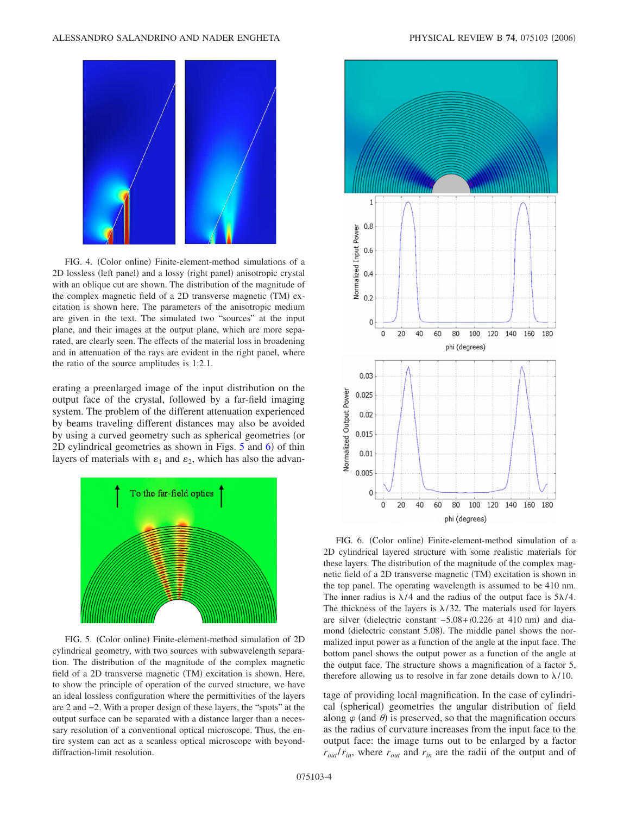<span id="page-3-0"></span>

FIG. 4. (Color online) Finite-element-method simulations of a 2D lossless (left panel) and a lossy (right panel) anisotropic crystal with an oblique cut are shown. The distribution of the magnitude of the complex magnetic field of a 2D transverse magnetic (TM) excitation is shown here. The parameters of the anisotropic medium are given in the text. The simulated two "sources" at the input plane, and their images at the output plane, which are more separated, are clearly seen. The effects of the material loss in broadening and in attenuation of the rays are evident in the right panel, where the ratio of the source amplitudes is 1:2.1.

erating a preenlarged image of the input distribution on the output face of the crystal, followed by a far-field imaging system. The problem of the different attenuation experienced by beams traveling different distances may also be avoided by using a curved geometry such as spherical geometries (or 2D cylindrical geometries as shown in Figs. [5](#page-3-1) and [6](#page-3-2)) of thin layers of materials with  $\varepsilon_1$  and  $\varepsilon_2$ , which has also the advan-

<span id="page-3-1"></span>

FIG. 5. (Color online) Finite-element-method simulation of 2D cylindrical geometry, with two sources with subwavelength separation. The distribution of the magnitude of the complex magnetic field of a 2D transverse magnetic (TM) excitation is shown. Here, to show the principle of operation of the curved structure, we have an ideal lossless configuration where the permittivities of the layers are 2 and −2. With a proper design of these layers, the "spots" at the output surface can be separated with a distance larger than a necessary resolution of a conventional optical microscope. Thus, the entire system can act as a scanless optical microscope with beyonddiffraction-limit resolution.

<span id="page-3-2"></span>

FIG. 6. (Color online) Finite-element-method simulation of a 2D cylindrical layered structure with some realistic materials for these layers. The distribution of the magnitude of the complex magnetic field of a 2D transverse magnetic (TM) excitation is shown in the top panel. The operating wavelength is assumed to be 410 nm. The inner radius is  $\lambda/4$  and the radius of the output face is  $5\lambda/4$ . The thickness of the layers is  $\lambda/32$ . The materials used for layers are silver (dielectric constant  $-5.08 + i0.226$  at 410 nm) and diamond (dielectric constant 5.08). The middle panel shows the normalized input power as a function of the angle at the input face. The bottom panel shows the output power as a function of the angle at the output face. The structure shows a magnification of a factor 5, therefore allowing us to resolve in far zone details down to  $\lambda/10$ .

tage of providing local magnification. In the case of cylindrical (spherical) geometries the angular distribution of field along  $\varphi$  (and  $\theta$ ) is preserved, so that the magnification occurs as the radius of curvature increases from the input face to the output face: the image turns out to be enlarged by a factor  $r_{out}/r_{in}$ , where  $r_{out}$  and  $r_{in}$  are the radii of the output and of